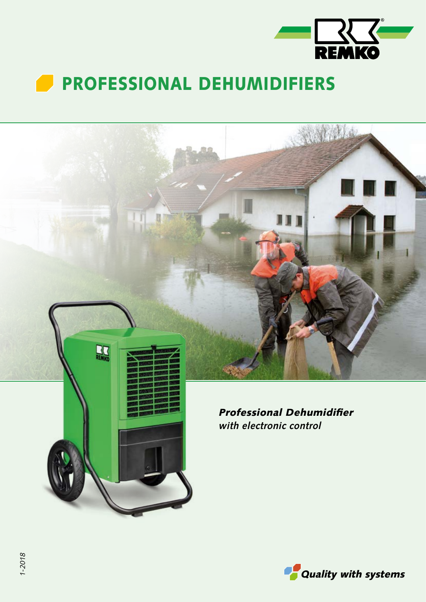

## **PROFESSIONAL DEHUMIDIFIERS**



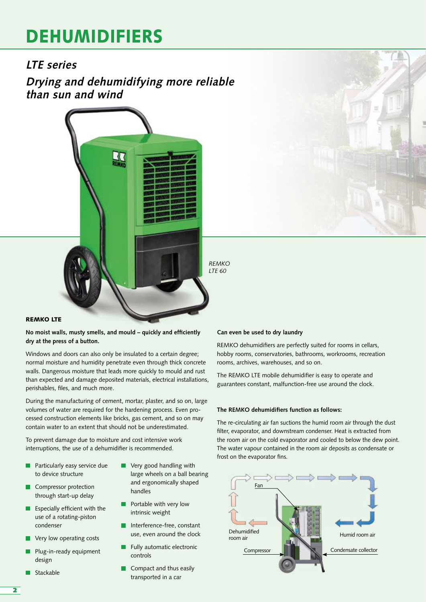# DEHUMIDIFIERS

### **LTE series**

**Drying and dehumidifying more reliable than sun and wind**



*REMKO LTE 60*

### REMKO LTE

**No moist walls, musty smells, and mould – quickly and efficiently dry at the press of a button.**

Windows and doors can also only be insulated to a certain degree; normal moisture and humidity penetrate even through thick concrete walls. Dangerous moisture that leads more quickly to mould and rust than expected and damage deposited materials, electrical installations, perishables, files, and much more.

During the manufacturing of cement, mortar, plaster, and so on, large volumes of water are required for the hardening process. Even processed construction elements like bricks, gas cement, and so on may contain water to an extent that should not be underestimated.

To prevent damage due to moisture and cost intensive work interruptions, the use of a dehumidifier is recommended.

- Particularly easy service due to device structure
- **Compressor protection** through start-up delay
- $E$  Especially efficient with the use of a rotating-piston condenser
- Very low operating costs
- Plug-in-ready equipment design
- Stackable
- Very good handling with П large wheels on a ball bearing and ergonomically shaped handles
- Portable with very low intrinsic weight
- **Interference-free, constant** use, even around the clock
- Fully automatic electronic controls
- **Compact and thus easily** transported in a car

#### **Can even be used to dry laundry**

REMKO dehumidifiers are perfectly suited for rooms in cellars, hobby rooms, conservatories, bathrooms, workrooms, recreation rooms, archives, warehouses, and so on.

The REMKO LTE mobile dehumidifier is easy to operate and guarantees constant, malfunction-free use around the clock.

#### **The REMKO dehumidifiers function as follows:**

The re-circulating air fan suctions the humid room air through the dust filter, evaporator, and downstream condenser. Heat is extracted from the room air on the cold evaporator and cooled to below the dew point. The water vapour contained in the room air deposits as condensate or frost on the evaporator fins.

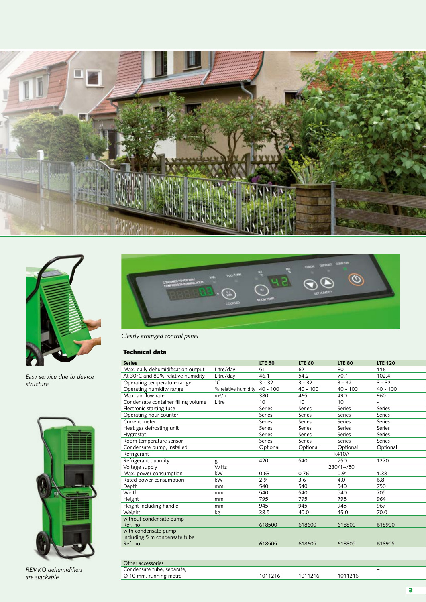



*Easy service due to device structure*



*REMKO dehumidifiers are stackable*



*Clearly arranged control panel*

### Technical data

| <b>Series</b>                       |                     | <b>LTE 50</b> | <b>LTE 60</b> | <b>LTE 80</b> | <b>LTE 120</b> |
|-------------------------------------|---------------------|---------------|---------------|---------------|----------------|
| Max. daily dehumidification output  | Litre/day           | 51            | 62            | 80            | 116            |
| At 30°C and 80% relative humidity   | Litre/day           | 46.1          | 54.2          | 70.1          | 102.4          |
| Operating temperature range         | °C                  | $3 - 32$      | $3 - 32$      | $3 - 32$      | $3 - 32$       |
| Operating humidity range            | % relative humidity | $40 - 100$    | $40 - 100$    | $40 - 100$    | $40 - 100$     |
| Max. air flow rate                  | $m^3/h$             | 380           | 465           | 490           | 960            |
| Condensate container filling volume | Litre               | 10            | 10            | 10            |                |
| Electronic starting fuse            |                     | Series        | <b>Series</b> | Series        | Series         |
| Operating hour counter              |                     | <b>Series</b> | <b>Series</b> | <b>Series</b> | <b>Series</b>  |
| Current meter                       |                     | <b>Series</b> | <b>Series</b> | Series        | Series         |
| Heat gas defrosting unit            |                     | Series        | Series        | Series        | Series         |
| Hygrostat                           |                     | Series        | <b>Series</b> | Series        | Series         |
| Room temperature sensor             |                     | <b>Series</b> | Series        | <b>Series</b> | Series         |
| Condensate pump, installed          |                     | Optional      | Optional      | Optional      | Optional       |
| Refrigerant                         |                     |               |               | <b>R410A</b>  |                |
| Refrigerant quantity                | g                   | 420           | 540           | 750           | 1270           |
| Voltage supply                      | V/Hz                |               |               | $230/1 - 750$ |                |
| Max. power consumption              | kW                  | 0.63          | 0.76          | 0.91          | 1.38           |
| Rated power consumption             | kW                  | 2.9           | 3.6           | 4.0           | 6.8            |
| Depth                               | mm                  | 540           | 540           | 540           | 750            |
| Width                               | mm                  | 540           | 540           | 540           | 705            |
| Height                              | mm                  | 795           | 795           | 795           | 964            |
| Height including handle             | mm                  | 945           | 945           | 945           | 967            |
| Weight                              | <u>kg</u>           | 38.5          | 40.0          | 45.0          | 70.0           |
| without condensate pump             |                     |               |               |               |                |
| Ref. no.                            |                     | 618500        | 618600        | 618800        | 618900         |
| with condensate pump                |                     |               |               |               |                |
| including 5 m condensate tube       |                     |               |               |               |                |
| Ref. no.                            |                     | 618505        | 618605        | 618805        | 618905         |
|                                     |                     |               |               |               |                |
|                                     |                     |               |               |               |                |
| Other accessories                   |                     |               |               |               |                |
| Condensate tube, separate,          |                     |               |               |               |                |

Ø 10 mm, running metre 1011216 1011216 1011216

3

–